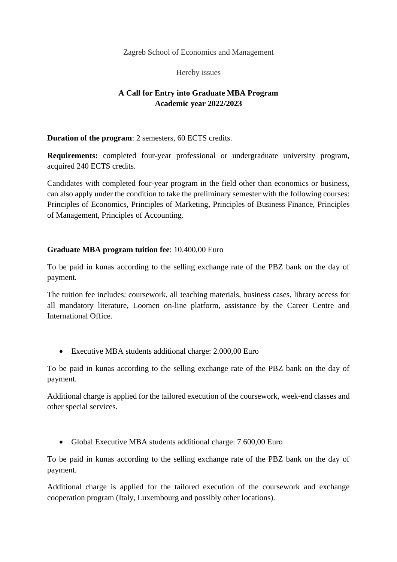Zagreb School of Economics and Management

Hereby issues

## **A Call for Entry into Graduate MBA Program Academic year 2022/2023**

**Duration of the program**: 2 semesters, 60 ECTS credits.

**Requirements:** completed four-year professional or undergraduate university program, acquired 240 ECTS credits.

Candidates with completed four-year program in the field other than economics or business, can also apply under the condition to take the preliminary semester with the following courses: Principles of Economics, Principles of Marketing, Principles of Business Finance, Principles of Management, Principles of Accounting.

## **Graduate MBA program tuition fee**: 10.400,00 Euro

To be paid in kunas according to the selling exchange rate of the PBZ bank on the day of payment.

The tuition fee includes: coursework, all teaching materials, business cases, library access for all mandatory literature, Loomen on-line platform, assistance by the Career Centre and International Office.

• Executive MBA students additional charge: 2.000,00 Euro

To be paid in kunas according to the selling exchange rate of the PBZ bank on the day of payment.

Additional charge is applied for the tailored execution of the coursework, week-end classes and other special services.

• Global Executive MBA students additional charge: 7.600,00 Euro

To be paid in kunas according to the selling exchange rate of the PBZ bank on the day of payment.

Additional charge is applied for the tailored execution of the coursework and exchange cooperation program (Italy, Luxembourg and possibly other locations).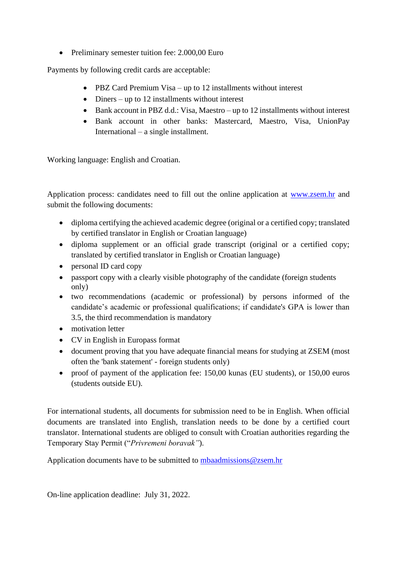• Preliminary semester tuition fee: 2.000,00 Euro

Payments by following credit cards are acceptable:

- PBZ Card Premium Visa up to 12 installments without interest
- Diners up to 12 installments without interest
- Bank account in PBZ d.d.: Visa, Maestro up to 12 installments without interest
- Bank account in other banks: Mastercard, Maestro, Visa, UnionPay International – a single installment.

Working language: English and Croatian.

Application process: candidates need to fill out the online application at [www.zsem.hr](http://www.zsem.hr/) and submit the following documents:

- diploma certifying the achieved academic degree (original or a certified copy; translated by certified translator in English or Croatian language)
- diploma supplement or an official grade transcript (original or a certified copy; translated by certified translator in English or Croatian language)
- personal ID card copy
- passport copy with a clearly visible photography of the candidate (foreign students only)
- two recommendations (academic or professional) by persons informed of the candidate's academic or professional qualifications; if candidate's GPA is lower than 3.5, the third recommendation is mandatory
- motivation letter
- CV in English in Europass format
- document proving that you have adequate financial means for studying at ZSEM (most often the 'bank statement' - foreign students only)
- proof of payment of the application fee: 150,00 kunas (EU students), or 150,00 euros (students outside EU).

For international students, all documents for submission need to be in English. When official documents are translated into English, translation needs to be done by a certified court translator. International students are obliged to consult with Croatian authorities regarding the Temporary Stay Permit ("*Privremeni boravak"*).

Application documents have to be submitted to [mbaadmissions@zsem.hr](mailto:mbaadmissions@zsem.hr)

On-line application deadline: July 31, 2022.